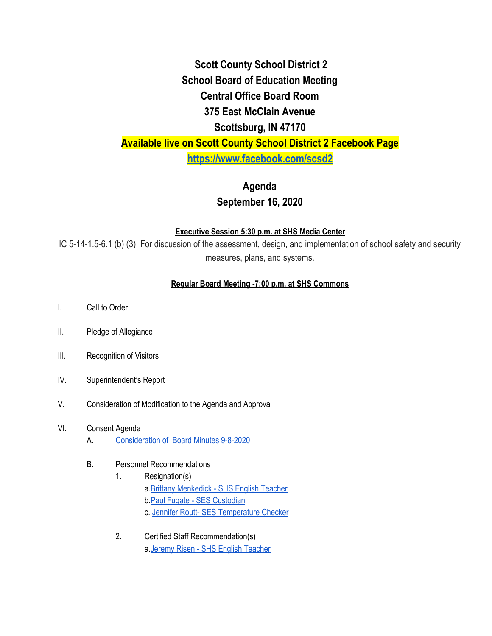## **Scott County School District 2 School Board of Education Meeting Central Office Board Room 375 East McClain Avenue Scottsburg, IN 47170 Available live on Scott County School District 2 Facebook Page <https://www.facebook.com/scsd2>**

# **Agenda**

### **September 16, 2020**

#### **Executive Session 5:30 p.m. at SHS Media Center**

IC 5-14-1.5-6.1 (b) (3) For discussion of the assessment, design, and implementation of school safety and security measures, plans, and systems.

### **Regular Board Meeting -7:00 p.m. at SHS Commons**

- I. Call to Order
- II. Pledge of Allegiance
- III. Recognition of Visitors
- IV. Superintendent's Report
- V. Consideration of Modification to the Agenda and Approval

#### VI. Consent Agenda

- A. [Consideration](https://drive.google.com/file/d/1YWBDddvMWFGa7VDu88ay2ubGTE-msvJu/view) of Board Minutes 9-8-2020
- B. Personnel Recommendations
	- 1. Resignation(s) a.Brittany [Menkedick](https://drive.google.com/file/d/13OBf5QMyj2-Ftc5ayET1zHMqT8xho6vp/view) - SHS English Teacher b.Paul Fugate - SES [Custodian](https://drive.google.com/file/d/1WR7XNlVBY4hRo2-3WbelMqUTrIdMSv4W/view) c. Jennifer Routt- SES [Temperature](https://drive.google.com/file/d/1ly2tF7F0J-cH0RH1hQ3uTPJ3ZVCLgh6t/view) Checker
	- 2. Certified Staff Recommendation(s) a.Jeremy Risen - SHS English [Teacher](https://drive.google.com/file/d/1kdA_4ApaM5rn0G3uuzBdxbTQbbCU5NVz/view)